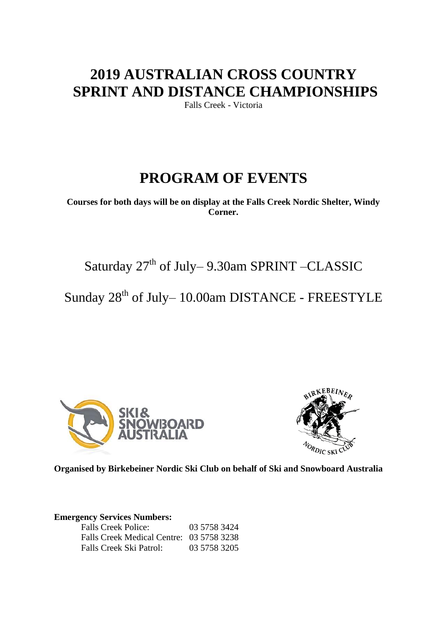# **2019 AUSTRALIAN CROSS COUNTRY SPRINT AND DISTANCE CHAMPIONSHIPS**

Falls Creek - Victoria

# **PROGRAM OF EVENTS**

**Courses for both days will be on display at the Falls Creek Nordic Shelter, Windy Corner.**

Saturday  $27<sup>th</sup>$  of July– 9.30am SPRINT –CLASSIC

Sunday 28<sup>th</sup> of July-10.00am DISTANCE - FREESTYLE





**Organised by Birkebeiner Nordic Ski Club on behalf of Ski and Snowboard Australia**

### **Emergency Services Numbers:**

| <b>Falls Creek Police:</b>               | 03 5758 3424 |
|------------------------------------------|--------------|
| Falls Creek Medical Centre: 03 5758 3238 |              |
| Falls Creek Ski Patrol:                  | 03 5758 3205 |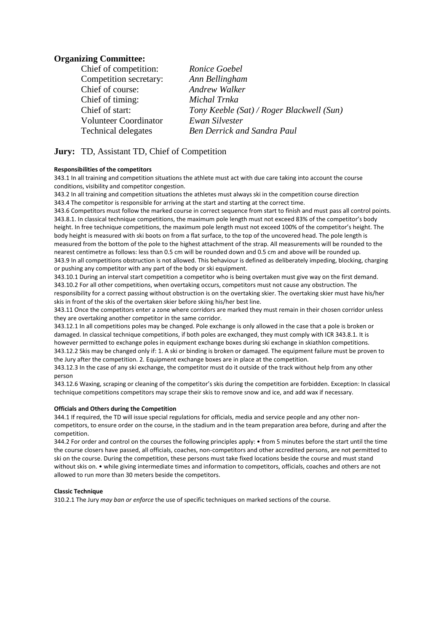### **Organizing Committee:**

| Ronice Goebel                             |
|-------------------------------------------|
| Ann Bellingham                            |
| <b>Andrew Walker</b>                      |
| Michal Trnka                              |
| Tony Keeble (Sat) / Roger Blackwell (Sun) |
| Ewan Silvester                            |
| <b>Ben Derrick and Sandra Paul</b>        |
|                                           |

### **Jury:** TD, Assistant TD, Chief of Competition

#### **Responsibilities of the competitors**

343.1 In all training and competition situations the athlete must act with due care taking into account the course conditions, visibility and competitor congestion.

343.2 In all training and competition situations the athletes must always ski in the competition course direction 343.4 The competitor is responsible for arriving at the start and starting at the correct time.

343.6 Competitors must follow the marked course in correct sequence from start to finish and must pass all control points. 343.8.1. In classical technique competitions, the maximum pole length must not exceed 83% of the competitor's body height. In free technique competitions, the maximum pole length must not exceed 100% of the competitor's height. The body height is measured with ski boots on from a flat surface, to the top of the uncovered head. The pole length is measured from the bottom of the pole to the highest attachment of the strap. All measurements will be rounded to the nearest centimetre as follows: less than 0.5 cm will be rounded down and 0.5 cm and above will be rounded up. 343.9 In all competitions obstruction is not allowed. This behaviour is defined as deliberately impeding, blocking, charging or pushing any competitor with any part of the body or ski equipment.

343.10.1 During an interval start competition a competitor who is being overtaken must give way on the first demand. 343.10.2 For all other competitions, when overtaking occurs, competitors must not cause any obstruction. The responsibility for a correct passing without obstruction is on the overtaking skier. The overtaking skier must have his/her skis in front of the skis of the overtaken skier before skiing his/her best line.

343.11 Once the competitors enter a zone where corridors are marked they must remain in their chosen corridor unless they are overtaking another competitor in the same corridor.

343.12.1 In all competitions poles may be changed. Pole exchange is only allowed in the case that a pole is broken or damaged. In classical technique competitions, if both poles are exchanged, they must comply with ICR 343.8.1. It is however permitted to exchange poles in equipment exchange boxes during ski exchange in skiathlon competitions. 343.12.2 Skis may be changed only if: 1. A ski or binding is broken or damaged. The equipment failure must be proven to the Jury after the competition. 2. Equipment exchange boxes are in place at the competition.

343.12.3 In the case of any ski exchange, the competitor must do it outside of the track without help from any other person

343.12.6 Waxing, scraping or cleaning of the competitor's skis during the competition are forbidden. Exception: In classical technique competitions competitors may scrape their skis to remove snow and ice, and add wax if necessary.

### **Officials and Others during the Competition**

344.1 If required, the TD will issue special regulations for officials, media and service people and any other noncompetitors, to ensure order on the course, in the stadium and in the team preparation area before, during and after the competition.

344.2 For order and control on the courses the following principles apply: • from 5 minutes before the start until the time the course closers have passed, all officials, coaches, non-competitors and other accredited persons, are not permitted to ski on the course. During the competition, these persons must take fixed locations beside the course and must stand without skis on. • while giving intermediate times and information to competitors, officials, coaches and others are not allowed to run more than 30 meters beside the competitors.

#### **Classic Technique**

310.2.1 The Jury *may ban or enforce* the use of specific techniques on marked sections of the course.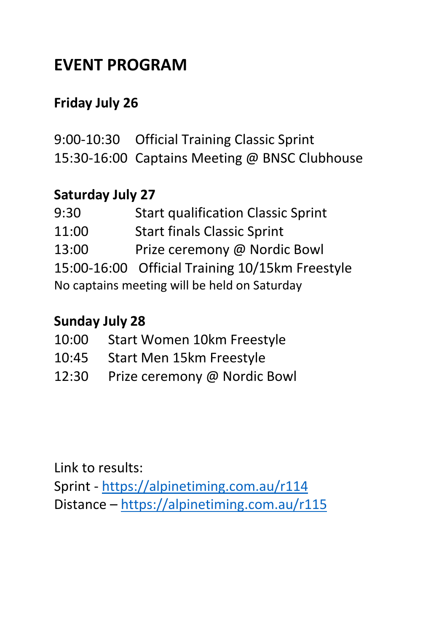# **EVENT PROGRAM**

# **Friday July 26**

9:00-10:30 Official Training Classic Sprint 15:30-16:00 Captains Meeting @ BNSC Clubhouse

# **Saturday July 27**

9:30 Start qualification Classic Sprint 11:00 Start finals Classic Sprint 13:00 Prize ceremony @ Nordic Bowl 15:00-16:00 Official Training 10/15km Freestyle No captains meeting will be held on Saturday

# **Sunday July 28**

- 10:00 Start Women 10km Freestyle
- 10:45 Start Men 15km Freestyle
- 12:30 Prize ceremony @ Nordic Bowl

Link to results:

Sprint - https://alpinetiming.com.au/r114 Distance – https://alpinetiming.com.au/r115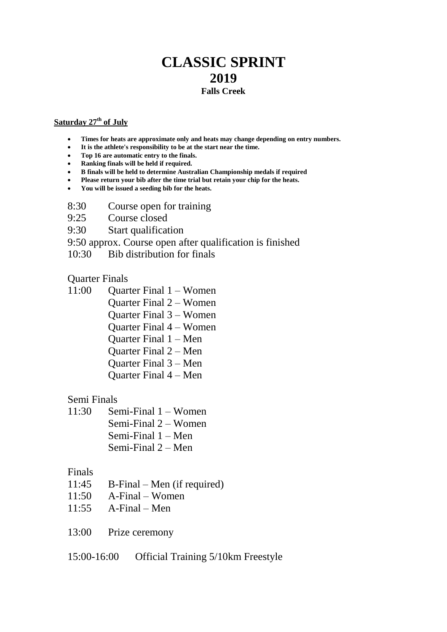# **CLASSIC SPRINT 2019 Falls Creek**

### **Saturday 27th of July**

- **Times for heats are approximate only and heats may change depending on entry numbers.**
- **It is the athlete's responsibility to be at the start near the time.**
- **Top 16 are automatic entry to the finals.**
- **Ranking finals will be held if required.**
- **B finals will be held to determine Australian Championship medals if required**
- **Please return your bib after the time trial but retain your chip for the heats.**
- **You will be issued a seeding bib for the heats.**
- 8:30 Course open for training
- 9:25 Course closed
- 9:30 Start qualification

## 9:50 approx. Course open after qualification is finished

10:30 Bib distribution for finals

## Quarter Finals

11:00 Quarter Final 1 – Women Quarter Final 2 – Women Quarter Final 3 – Women Quarter Final 4 – Women Quarter Final 1 – Men Quarter Final 2 – Men Quarter Final 3 – Men Quarter Final 4 – Men

## Semi Finals

 $11:30$  Semi-Final  $1 - W$ omen Semi-Final 2 – Women Semi-Final 1 – Men Semi-Final 2 – Men

## Finals

- 11:45 B-Final Men (if required)
- 11:50 A-Final Women
- $11:55$  A-Final Men
- 13:00 Prize ceremony
- 15:00-16:00 Official Training 5/10km Freestyle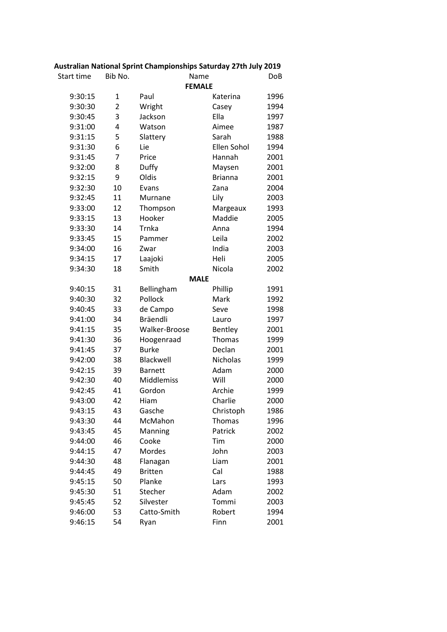| Start time | Bib No.        | Name           |                | <b>DoB</b> |
|------------|----------------|----------------|----------------|------------|
|            |                | <b>FEMALE</b>  |                |            |
| 9:30:15    | 1              | Paul           | Katerina       | 1996       |
| 9:30:30    | $\overline{2}$ | Wright         | Casey          | 1994       |
| 9:30:45    | 3              | Jackson        | Ella           | 1997       |
| 9:31:00    | 4              | Watson         | Aimee          | 1987       |
| 9:31:15    | 5              | Slattery       | Sarah          | 1988       |
| 9:31:30    | 6              | Lie            | Ellen Sohol    | 1994       |
| 9:31:45    | 7              | Price          | Hannah         | 2001       |
| 9:32:00    | 8              | Duffy          | Maysen         | 2001       |
| 9:32:15    | 9              | Oldis          | <b>Brianna</b> | 2001       |
| 9:32:30    | 10             | Evans          | Zana           | 2004       |
| 9:32:45    | 11             | Murnane        | Lily           | 2003       |
| 9:33:00    | 12             | Thompson       | Margeaux       | 1993       |
| 9:33:15    | 13             | Hooker         | Maddie         | 2005       |
| 9:33:30    | 14             | Trnka          | Anna           | 1994       |
| 9:33:45    | 15             | Pammer         | Leila          | 2002       |
| 9:34:00    | 16             | Zwar           | India          | 2003       |
| 9:34:15    | 17             | Laajoki        | Heli           | 2005       |
| 9:34:30    | 18             | Smith          | Nicola         | 2002       |
|            |                | <b>MALE</b>    |                |            |
| 9:40:15    | 31             | Bellingham     | Phillip        | 1991       |
| 9:40:30    | 32             | Pollock        | Mark           | 1992       |
| 9:40:45    | 33             | de Campo       | Seve           | 1998       |
| 9:41:00    | 34             | Bräendli       | Lauro          | 1997       |
| 9:41:15    | 35             | Walker-Broose  | Bentley        | 2001       |
| 9:41:30    | 36             | Hoogenraad     | Thomas         | 1999       |
| 9:41:45    | 37             | <b>Burke</b>   | Declan         | 2001       |
| 9:42:00    | 38             | Blackwell      | Nicholas       | 1999       |
| 9:42:15    | 39             | <b>Barnett</b> | Adam           | 2000       |
| 9:42:30    | 40             | Middlemiss     | Will           | 2000       |
| 9:42:45    | 41             | Gordon         | Archie         | 1999       |
| 9:43:00    | 42             | Hiam           | Charlie        | 2000       |
| 9:43:15    | 43             | Gasche         | Christoph      | 1986       |
| 9:43:30    | 44             | McMahon        | Thomas         | 1996       |
| 9:43:45    | 45             | Manning        | Patrick        | 2002       |
| 9:44:00    | 46             | Cooke          | Tim            | 2000       |
| 9:44:15    | 47             | Mordes         | John           | 2003       |
| 9:44:30    | 48             | Flanagan       | Liam           | 2001       |
| 9:44:45    | 49             | <b>Britten</b> | Cal            | 1988       |
| 9:45:15    | 50             | Planke         | Lars           | 1993       |
| 9:45:30    | 51             | Stecher        | Adam           | 2002       |
| 9:45:45    | 52             | Silvester      | Tommi          | 2003       |
| 9:46:00    | 53             | Catto-Smith    | Robert         | 1994       |
| 9:46:15    | 54             | Ryan           | Finn           | 2001       |
|            |                |                |                |            |

## **Australian National Sprint Championships Saturday 27th July 2019**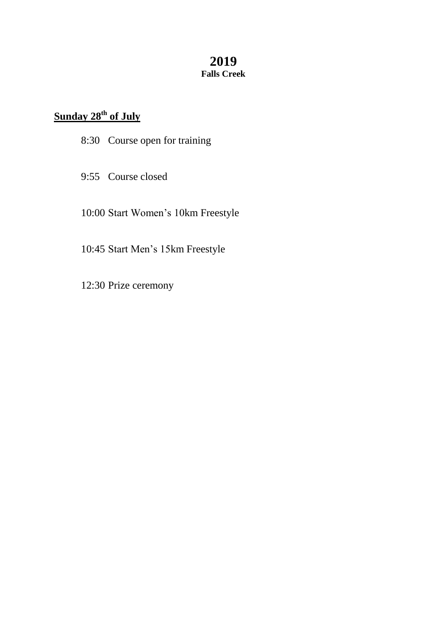# **2019**

# **Falls Creek**

# **Sunday 28th of July**

- 8:30 Course open for training
- 9:55 Course closed
- 10:00 Start Women's 10km Freestyle
- 10:45 Start Men's 15km Freestyle
- 12:30 Prize ceremony